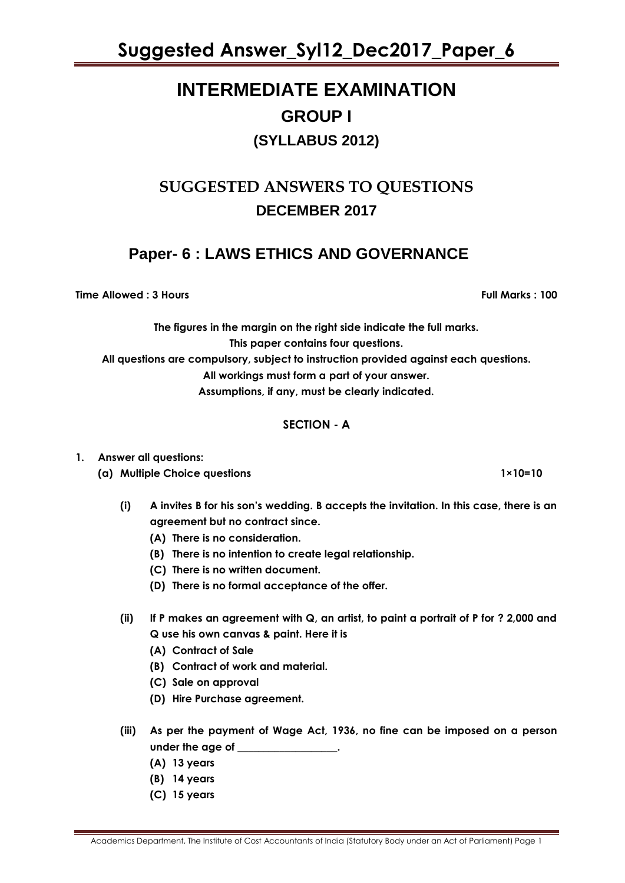# **INTERMEDIATE EXAMINATION GROUP I (SYLLABUS 2012)**

# **SUGGESTED ANSWERS TO QUESTIONS DECEMBER 2017**

## **Paper- 6 : LAWS ETHICS AND GOVERNANCE**

**Time Allowed : 3 Hours Full Marks : 100**

**The figures in the margin on the right side indicate the full marks. This paper contains four questions. All questions are compulsory, subject to instruction provided against each questions. All workings must form a part of your answer.**

**Assumptions, if any, must be clearly indicated.**

## **SECTION - A**

## **1. Answer all questions:**

**(a) Multiple Choice questions 1×10=10**

- **(i) A invites B for his son's wedding. B accepts the invitation. In this case, there is an agreement but no contract since.**
	- **(A) There is no consideration.**
	- **(B) There is no intention to create legal relationship.**
	- **(C) There is no written document.**
	- **(D) There is no formal acceptance of the offer.**
- **(ii) If P makes an agreement with Q, an artist, to paint a portrait of P for ? 2,000 and Q use his own canvas & paint. Here it is**
	- **(A) Contract of Sale**
	- **(B) Contract of work and material.**
	- **(C) Sale on approval**
	- **(D) Hire Purchase agreement.**
- **(iii) As per the payment of Wage Act, 1936, no fine can be imposed on a person under the age of \_\_\_\_\_\_\_\_\_\_\_\_\_\_\_\_\_\_\_.**
	- **(A) 13 years**
	- **(B) 14 years**
	- **(C) 15 years**

Academics Department, The Institute of Cost Accountants of India (Statutory Body under an Act of Parliament) Page 1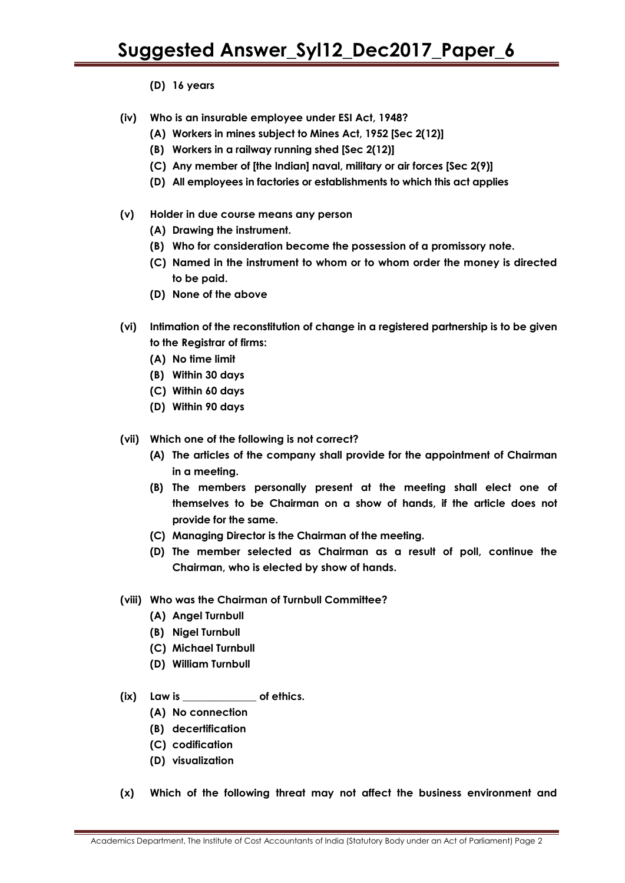**(D) 16 years** 

- **(iv) Who is an insurable employee under ESI Act, 1948?**
	- **(A) Workers in mines subject to Mines Act, 1952 [Sec 2(12)]**
	- **(B) Workers in a railway running shed [Sec 2(12)]**
	- **(C) Any member of [the Indian] naval, military or air forces [Sec 2(9)]**
	- **(D) All employees in factories or establishments to which this act applies**
- **(v) Holder in due course means any person** 
	- **(A) Drawing the instrument.**
	- **(B) Who for consideration become the possession of a promissory note.**
	- **(C) Named in the instrument to whom or to whom order the money is directed to be paid.**
	- **(D) None of the above**
- **(vi) Intimation of the reconstitution of change in a registered partnership is to be given to the Registrar of firms:**
	- **(A) No time limit**
	- **(B) Within 30 days**
	- **(C) Within 60 days**
	- **(D) Within 90 days**
- **(vii) Which one of the following is not correct?**
	- **(A) The articles of the company shall provide for the appointment of Chairman in a meeting.**
	- **(B) The members personally present at the meeting shall elect one of themselves to be Chairman on a show of hands, if the article does not provide for the same.**
	- **(C) Managing Director is the Chairman of the meeting.**
	- **(D) The member selected as Chairman as a result of poll, continue the Chairman, who is elected by show of hands.**
- **(viii) Who was the Chairman of Turnbull Committee?** 
	- **(A) Angel Turnbull**
	- **(B) Nigel Turnbull**
	- **(C) Michael Turnbull**
	- **(D) William Turnbull**
- **(ix) Law is \_\_\_\_\_\_\_\_\_\_\_\_\_\_ of ethics.**
	- **(A) No connection**
	- **(B) decertification**
	- **(C) codification**
	- **(D) visualization**
- **(x) Which of the following threat may not affect the business environment and**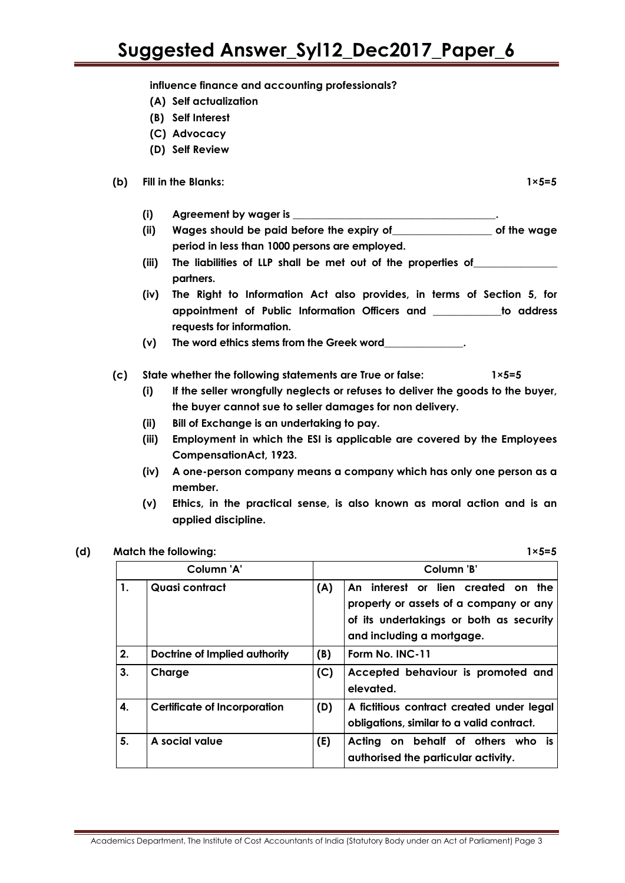**influence finance and accounting professionals?**

- **(A) Self actualization**
- **(B) Self Interest**
- **(C) Advocacy**
- **(D) Self Review**

#### **(b) Fill in the Blanks: 1×5=5**

**(i) Agreement by wager is \_\_\_\_\_\_\_\_\_\_\_\_\_\_\_\_\_\_\_\_\_\_\_\_\_\_\_\_\_\_\_\_\_\_\_\_\_\_\_.**

- **(ii) Wages should be paid before the expiry of\_\_\_\_\_\_\_\_\_\_\_\_\_\_\_\_\_\_\_ of the wage period in less than 1000 persons are employed.**
- **(iii) The liabilities of LLP shall be met out of the properties of\_\_\_\_\_\_\_\_\_\_\_\_\_\_\_\_ partners.**
- **(iv) The Right to Information Act also provides, in terms of Section 5, for appointment of Public Information Officers and \_\_\_\_\_\_\_\_\_\_\_\_\_to address requests for information.**

**(v) The word ethics stems from the Greek word\_\_\_\_\_\_\_\_\_\_\_\_\_\_\_.**

#### **(c) State whether the following statements are True or false: 1×5=5**

- **(i) If the seller wrongfully neglects or refuses to deliver the goods to the buyer, the buyer cannot sue to seller damages for non delivery.**
- **(ii) Bill of Exchange is an undertaking to pay.**
- **(iii) Employment in which the ESI is applicable are covered by the Employees CompensationAct, 1923.**
- **(iv) A one-person company means a company which has only one person as a member.**
- **(v) Ethics, in the practical sense, is also known as moral action and is an applied discipline.**

#### **(d) Match the following: 1×5=5**

| Column 'A' |                               |     | Column 'B'                                                                                                                                               |  |
|------------|-------------------------------|-----|----------------------------------------------------------------------------------------------------------------------------------------------------------|--|
| 1.         | Quasi contract                | (A) | interest or lien created on the<br>Δn.<br>property or assets of a company or any<br>of its undertakings or both as security<br>and including a mortgage. |  |
| 2.         | Doctrine of Implied authority | (B) | Form No. INC-11                                                                                                                                          |  |
| 3.         | Charge                        | (C) | Accepted behaviour is promoted and<br>elevated.                                                                                                          |  |
| 4.         | Certificate of Incorporation  | (D) | A fictitious contract created under legal<br>obligations, similar to a valid contract.                                                                   |  |
| 5.         | A social value                | (E) | Acting on behalf of others who is<br>authorised the particular activity.                                                                                 |  |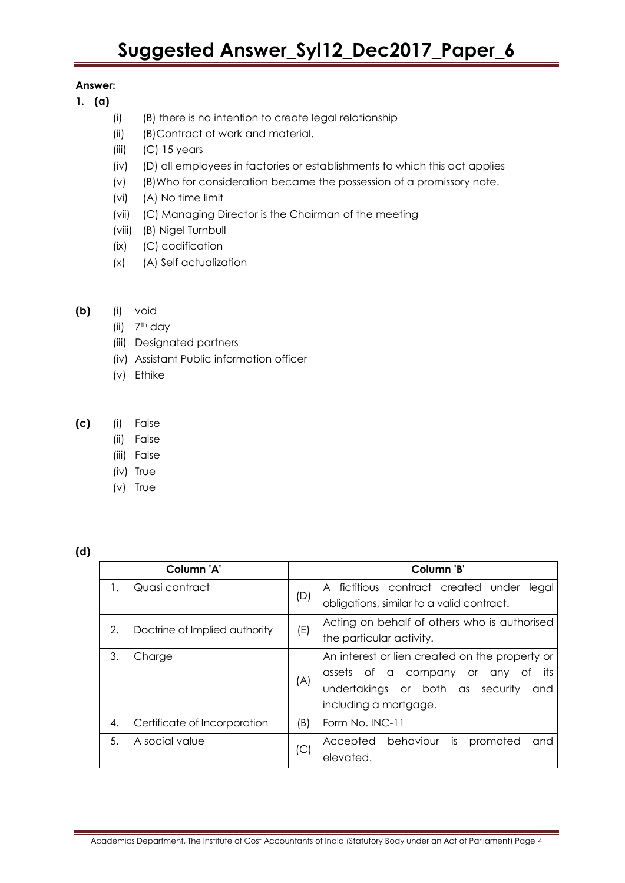### **Answer:**

- **1. (a)** 
	- (i) (B) there is no intention to create legal relationship
	- (ii) (B)Contract of work and material.
	- (iii) (C) 15 years
	- (iv) (D) all employees in factories or establishments to which this act applies
	- (v) (B)Who for consideration became the possession of a promissory note.
	- (vi) (A) No time limit
	- (vii) (C) Managing Director is the Chairman of the meeting
	- (viii) (B) Nigel Turnbull
	- (ix) (C) codification
	- (x) (A) Self actualization
- **(b)** (i) void
	- (ii) 7th day
	- (iii) Designated partners
	- (iv) Assistant Public information officer
	- (v) Ethike
- **(c)** (i) False
	- (ii) False
	- (iii) False
	- (iv) True
	- (v) True

| v<br>v<br>. . |  |  |  |
|---------------|--|--|--|
|---------------|--|--|--|

| Column 'A' |                               |     | Column 'B'                                                                                                                                                 |  |
|------------|-------------------------------|-----|------------------------------------------------------------------------------------------------------------------------------------------------------------|--|
| 1.         | Quasi contract                | (D) | fictitious contract created under<br>legal<br>A<br>obligations, similar to a valid contract.                                                               |  |
| 2.         | Doctrine of Implied authority | (E) | Acting on behalf of others who is authorised<br>the particular activity.                                                                                   |  |
| 3.         | Charge                        | (A) | An interest or lien created on the property or<br>assets of a company or any of<br>its<br>undertakings or both as security<br>and<br>including a mortgage. |  |
| 4.         | Certificate of Incorporation  | (B) | Form No. INC-11                                                                                                                                            |  |
| 5.         | A social value                | (C) | Accepted behaviour is promoted<br>and<br>elevated.                                                                                                         |  |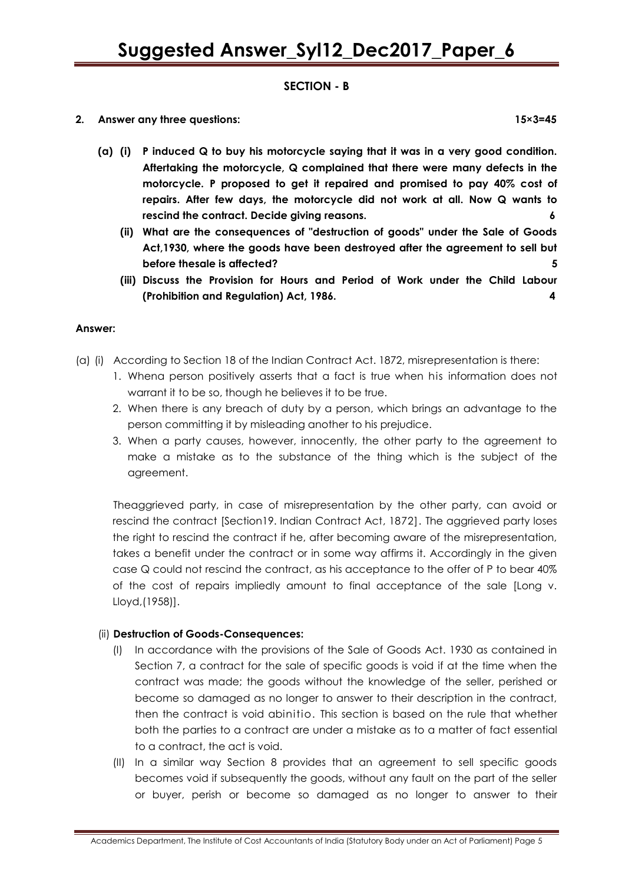### **SECTION - B**

**2. Answer any three questions: 15×3=45**

- **(a) (i) P induced Q to buy his motorcycle saying that it was in a very good condition. Aftertaking the motorcycle, Q complained that there were many defects in the motorcycle. P proposed to get it repaired and promised to pay 40% cost of repairs. After few days, the motorcycle did not work at all. Now Q wants to rescind the contract. Decide giving reasons. 6**
	- **(ii) What are the consequences of "destruction of goods" under the Sale of Goods Act,1930, where the goods have been destroyed after the agreement to sell but before thesale is affected? 5**
	- **(iii) Discuss the Provision for Hours and Period of Work under the Child Labour (Prohibition and Regulation) Act, 1986. 4**

#### **Answer:**

- (a) (i) According to Section 18 of the Indian Contract Act. 1872, misrepresentation is there:
	- 1. Whena person positively asserts that a fact is true when his information does not warrant it to be so, though he believes it to be true.
	- 2. When there is any breach of duty by a person, which brings an advantage to the person committing it by misleading another to his prejudice.
	- 3. When a party causes, however, innocently, the other party to the agreement to make a mistake as to the substance of the thing which is the subject of the agreement.

Theaggrieved party, in case of misrepresentation by the other party, can avoid or rescind the contract [Section19. Indian Contract Act, 1872]. The aggrieved party loses the right to rescind the contract if he, after becoming aware of the misrepresentation, takes a benefit under the contract or in some way affirms it. Accordingly in the given case Q could not rescind the contract, as his acceptance to the offer of P to bear 40% of the cost of repairs impliedly amount to final acceptance of the sale [Long v. Lloyd,(1958)].

### (ii) **Destruction of Goods-Consequences:**

- (I) In accordance with the provisions of the Sale of Goods Act. 1930 as contained in Section 7, a contract for the sale of specific goods is void if at the time when the contract was made; the goods without the knowledge of the seller, perished or become so damaged as no longer to answer to their description in the contract, then the contract is void abinitio. This section is based on the rule that whether both the parties to a contract are under a mistake as to a matter of fact essential to a contract, the act is void.
- (II) In a similar way Section 8 provides that an agreement to sell specific goods becomes void if subsequently the goods, without any fault on the part of the seller or buyer, perish or become so damaged as no longer to answer to their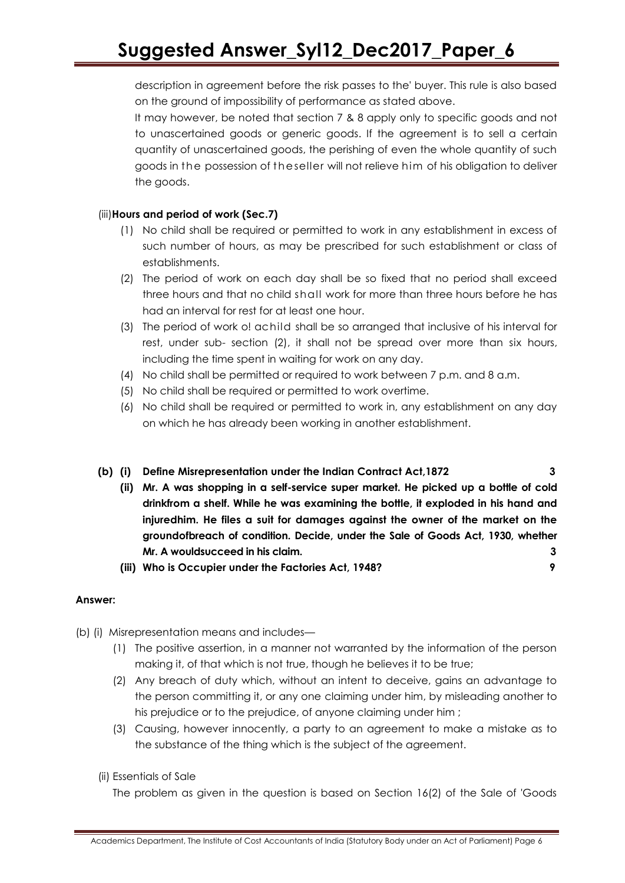description in agreement before the risk passes to the' buyer. This rule is also based on the ground of impossibility of performance as stated above.

It may however, be noted that section 7 & 8 apply only to specific goods and not to unascertained goods or generic goods. If the agreement is to sell a certain quantity of unascertained goods, the perishing of even the whole quantity of such goods in the possession of the seller will not relieve him of his obligation to deliver the goods.

### (iii)**Hours and period of work (Sec.7)**

- (1) No child shall be required or permitted to work in any establishment in excess of such number of hours, as may be prescribed for such establishment or class of establishments.
- (2) The period of work on each day shall be so fixed that no period shall exceed three hours and that no child shall work for more than three hours before he has had an interval for rest for at least one hour.
- (3) The period of work o! achild shall be so arranged that inclusive of his interval for rest, under sub- section (2), it shall not be spread over more than six hours, including the time spent in waiting for work on any day.
- (4) No child shall be permitted or required to work between 7 p.m. and 8 a.m.
- (5) No child shall be required or permitted to work overtime.
- (6) No child shall be required or permitted to work in, any establishment on any day on which he has already been working in another establishment.

### **(b) (i) Define Misrepresentation under the Indian Contract Act,1872 3**

- **(ii) Mr. A was shopping in a self-service super market. He picked up a bottle of cold drinkfrom a shelf. While he was examining the bottle, it exploded in his hand and injuredhim. He files a suit for damages against the owner of the market on the groundofbreach of condition. Decide, under the Sale of Goods Act, 1930, whether Mr. A wouldsucceed in his claim. 3**
- **(iii) Who is Occupier under the Factories Act, 1948? 9**

### **Answer:**

- (b) (i) Misrepresentation means and includes—
	- (1) The positive assertion, in a manner not warranted by the information of the person making it, of that which is not true, though he believes it to be true;
	- (2) Any breach of duty which, without an intent to deceive, gains an advantage to the person committing it, or any one claiming under him, by misleading another to his prejudice or to the prejudice, of anyone claiming under him ;
	- (3) Causing, however innocently, a party to an agreement to make a mistake as to the substance of the thing which is the subject of the agreement.
	- (ii) Essentials of Sale

The problem as given in the question is based on Section 16(2) of the Sale of 'Goods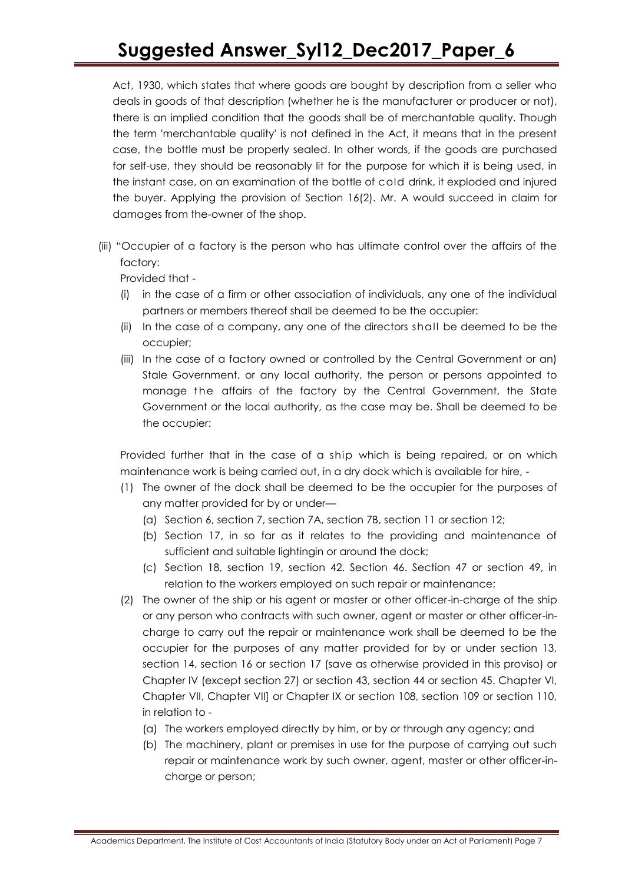Act, 1930, which states that where goods are bought by description from a seller who deals in goods of that description (whether he is the manufacturer or producer or not), there is an implied condition that the goods shall be of merchantable quality. Though the term 'merchantable quality' is not defined in the Act, it means that in the present case, the bottle must be properly sealed. In other words, if the goods are purchased for self-use, they should be reasonably lit for the purpose for which it is being used, in the instant case, on an examination of the bottle of cold drink, it exploded and injured the buyer. Applying the provision of Section 16(2). Mr. A would succeed in claim for damages from the-owner of the shop.

(iii) "Occupier of a factory is the person who has ultimate control over the affairs of the factory:

Provided that -

- (i) in the case of a firm or other association of individuals, any one of the individual partners or members thereof shall be deemed to be the occupier:
- (ii) In the case of a company, any one of the directors shall be deemed to be the occupier;
- (iii) In the case of a factory owned or controlled by the Central Government or an) Stale Government, or any local authority, the person or persons appointed to manage the affairs of the factory by the Central Government, the State Government or the local authority, as the case may be. Shall be deemed to be the occupier:

Provided further that in the case of a ship which is being repaired, or on which maintenance work is being carried out, in a dry dock which is available for hire, -

- (1) The owner of the dock shall be deemed to be the occupier for the purposes of any matter provided for by or under—
	- (a) Section 6, section 7, section 7A, section 7B, section 11 or section 12;
	- (b) Section 17, in so far as it relates to the providing and maintenance of sufficient and suitable lightingin or around the dock;
	- (c) Section 18, section 19, section 42. Section 46. Section 47 or section 49, in relation to the workers employed on such repair or maintenance;
- (2) The owner of the ship or his agent or master or other officer-in-charge of the ship or any person who contracts with such owner, agent or master or other officer-incharge to carry out the repair or maintenance work shall be deemed to be the occupier for the purposes of any matter provided for by or under section 13, section 14, section 16 or section 17 (save as otherwise provided in this proviso) or Chapter IV (except section 27) or section 43, section 44 or section 45. Chapter VI, Chapter VII, Chapter VII] or Chapter IX or section 108, section 109 or section 110, in relation to -
	- (a) The workers employed directly by him, or by or through any agency; and
	- (b) The machinery, plant or premises in use for the purpose of carrying out such repair or maintenance work by such owner, agent, master or other officer-incharge or person;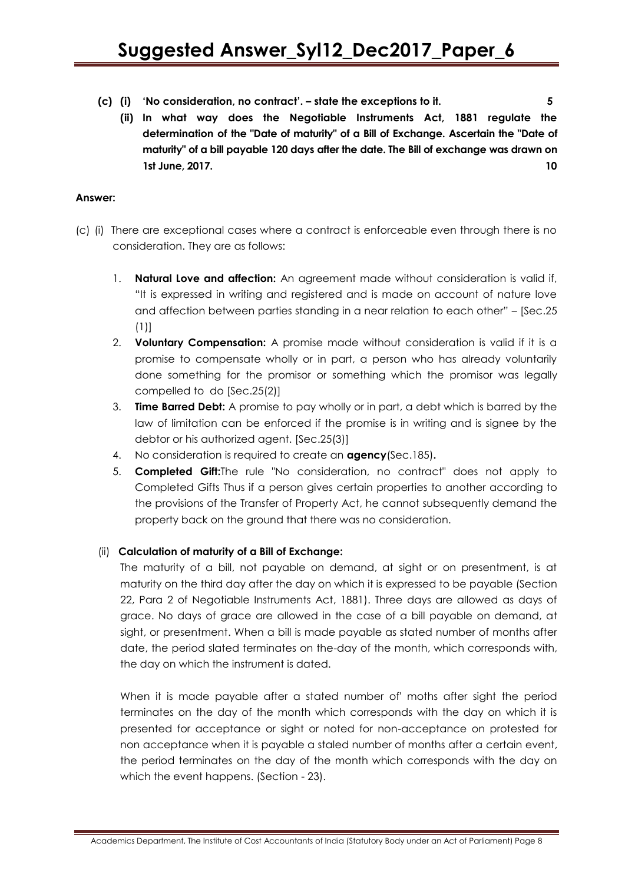- **(c) (i) 'No consideration, no contract'. – state the exceptions to it. 5**
	- **(ii) In what way does the Negotiable Instruments Act, 1881 regulate the determination of the "Date of maturity" of a Bill of Exchange. Ascertain the "Date of maturity" of a bill payable 120 days after the date. The Bill of exchange was drawn on 1st June, 2017. 10**

#### **Answer:**

- (c) (i) There are exceptional cases where a contract is enforceable even through there is no consideration. They are as follows:
	- 1. **Natural Love and affection:** An agreement made without consideration is valid if, ―It is expressed in writing and registered and is made on account of nature love and affection between parties standing in a near relation to each other" – [Sec.25] (1)]
	- 2. **Voluntary Compensation:** A promise made without consideration is valid if it is a promise to compensate wholly or in part, a person who has already voluntarily done something for the promisor or something which the promisor was legally compelled to do [Sec.25(2)]
	- 3. **Time Barred Debt:** A promise to pay wholly or in part, a debt which is barred by the law of limitation can be enforced if the promise is in writing and is signee by the debtor or his authorized agent. [Sec.25(3)]
	- 4. No consideration is required to create an **agency**(Sec.185)**.**
	- 5. **Completed Gift:**The rule "No consideration, no contract" does not apply to Completed Gifts Thus if a person gives certain properties to another according to the provisions of the Transfer of Property Act, he cannot subsequently demand the property back on the ground that there was no consideration.

#### (ii) **Calculation of maturity of a Bill of Exchange:**

The maturity of a bill, not payable on demand, at sight or on presentment, is at maturity on the third day after the day on which it is expressed to be payable (Section 22, Para 2 of Negotiable Instruments Act, 1881). Three days are allowed as days of grace. No days of grace are allowed in the case of a bill payable on demand, at sight, or presentment. When a bill is made payable as stated number of months after date, the period slated terminates on the-day of the month, which corresponds with, the day on which the instrument is dated.

When it is made payable after a stated number of' moths after sight the period terminates on the day of the month which corresponds with the day on which it is presented for acceptance or sight or noted for non-acceptance on protested for non acceptance when it is payable a staled number of months after a certain event, the period terminates on the day of the month which corresponds with the day on which the event happens. (Section - 23).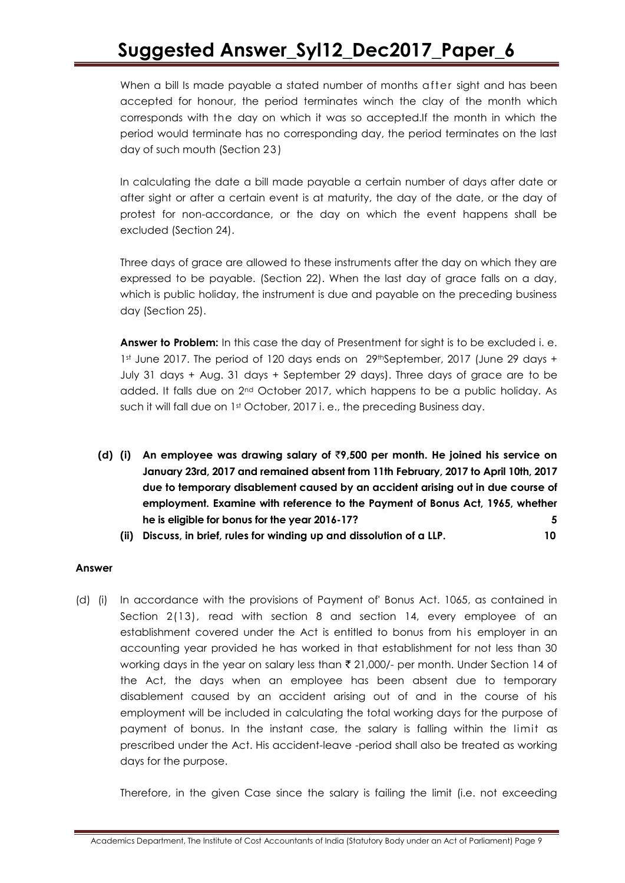When a bill Is made payable a stated number of months after sight and has been accepted for honour, the period terminates winch the clay of the month which corresponds with the day on which it was so accepted.If the month in which the period would terminate has no corresponding day, the period terminates on the last day of such mouth (Section 23 )

In calculating the date a bill made payable a certain number of days after date or after sight or after a certain event is at maturity, the day of the date, or the day of protest for non-accordance, or the day on which the event happens shall be excluded (Section 24).

Three days of grace are allowed to these instruments after the day on which they are expressed to be payable. (Section 22). When the last day of grace falls on a day, which is public holiday, the instrument is due and payable on the preceding business day (Section 25).

**Answer to Problem:** In this case the day of Presentment for sight is to be excluded i. e. 1st June 2017. The period of 120 days ends on 29thSeptember, 2017 (June 29 days + July 31 days + Aug. 31 days + September 29 days). Three days of grace are to be added. It falls due on 2nd October 2017, which happens to be a public holiday. As such it will fall due on 1st October, 2017 i. e., the preceding Business day.

- **(d) (i) An employee was drawing salary of** `**9,500 per month. He joined his service on January 23rd, 2017 and remained absent from 11th February, 2017 to April 10th, 2017 due to temporary disablement caused by an accident arising out in due course of employment. Examine with reference to the Payment of Bonus Act, 1965, whether he is eligible for bonus for the year 2016-17? 5**
	- **(ii) Discuss, in brief, rules for winding up and dissolution of a LLP. 10**

#### **Answer**

(d) (i) In accordance with the provisions of Payment of' Bonus Act. 1065, as contained in Section 2(13), read with section 8 and section 14, every employee of an establishment covered under the Act is entitled to bonus from his employer in an accounting year provided he has worked in that establishment for not less than 30 working days in the year on salary less than  $\bar{\tau}$  21,000/- per month. Under Section 14 of the Act, the days when an employee has been absent due to temporary disablement caused by an accident arising out of and in the course of his employment will be included in calculating the total working days for the purpose of payment of bonus. In the instant case, the salary is falling within the limit as prescribed under the Act. His accident-leave -period shall also be treated as working days for the purpose.

Therefore, in the given Case since the salary is failing the limit (i.e. not exceeding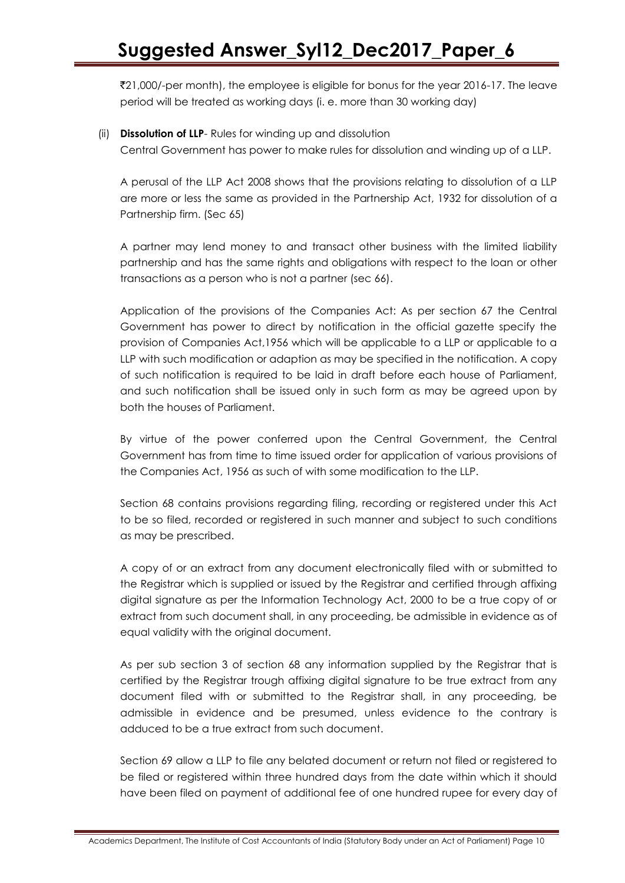`21,000/-per month), the employee is eligible for bonus for the year 2016-17. The leave period will be treated as working days (i. e. more than 30 working day)

#### (ii) **Dissolution of LLP**- Rules for winding up and dissolution

Central Government has power to make rules for dissolution and winding up of a LLP.

A perusal of the LLP Act 2008 shows that the provisions relating to dissolution of a LLP are more or less the same as provided in the Partnership Act, 1932 for dissolution of a Partnership firm. (Sec 65)

A partner may lend money to and transact other business with the limited liability partnership and has the same rights and obligations with respect to the loan or other transactions as a person who is not a partner (sec 66).

Application of the provisions of the Companies Act: As per section 67 the Central Government has power to direct by notification in the official gazette specify the provision of Companies Act,1956 which will be applicable to a LLP or applicable to a LLP with such modification or adaption as may be specified in the notification. A copy of such notification is required to be laid in draft before each house of Parliament, and such notification shall be issued only in such form as may be agreed upon by both the houses of Parliament.

By virtue of the power conferred upon the Central Government, the Central Government has from time to time issued order for application of various provisions of the Companies Act, 1956 as such of with some modification to the LLP.

Section 68 contains provisions regarding filing, recording or registered under this Act to be so filed, recorded or registered in such manner and subject to such conditions as may be prescribed.

A copy of or an extract from any document electronically filed with or submitted to the Registrar which is supplied or issued by the Registrar and certified through affixing digital signature as per the Information Technology Act, 2000 to be a true copy of or extract from such document shall, in any proceeding, be admissible in evidence as of equal validity with the original document.

As per sub section 3 of section 68 any information supplied by the Registrar that is certified by the Registrar trough affixing digital signature to be true extract from any document filed with or submitted to the Registrar shall, in any proceeding, be admissible in evidence and be presumed, unless evidence to the contrary is adduced to be a true extract from such document.

Section 69 allow a LLP to file any belated document or return not filed or registered to be filed or registered within three hundred days from the date within which it should have been filed on payment of additional fee of one hundred rupee for every day of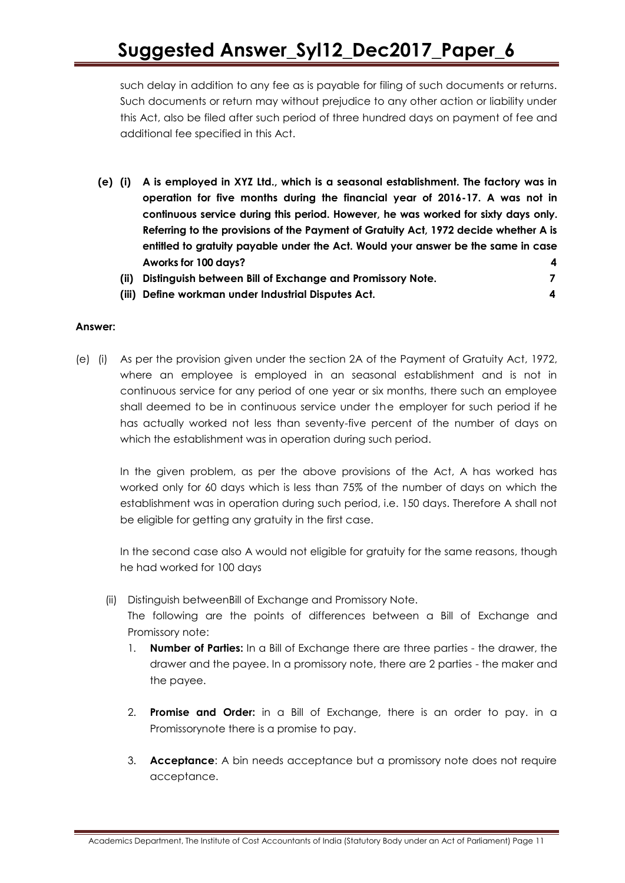such delay in addition to any fee as is payable for filing of such documents or returns. Such documents or return may without prejudice to any other action or liability under this Act, also be filed after such period of three hundred days on payment of fee and additional fee specified in this Act.

- **(e) (i) A is employed in XYZ Ltd., which is a seasonal establishment. The factory was in operation for five months during the financial year of 2016-17. A was not in continuous service during this period. However, he was worked for sixty days only. Referring to the provisions of the Payment of Gratuity Act, 1972 decide whether A is entitled to gratuity payable under the Act. Would your answer be the same in case Aworks for 100 days? 4**
	- **(ii) Distinguish between Bill of Exchange and Promissory Note. 7**
	- **(iii) Define workman under Industrial Disputes Act. 4**

#### **Answer:**

(e) (i) As per the provision given under the section 2A of the Payment of Gratuity Act, 1972, where an employee is employed in an seasonal establishment and is not in continuous service for any period of one year or six months, there such an employee shall deemed to be in continuous service under the employer for such period if he has actually worked not less than seventy-five percent of the number of days on which the establishment was in operation during such period.

In the given problem, as per the above provisions of the Act, A has worked has worked only for 60 days which is less than 75% of the number of days on which the establishment was in operation during such period, i.e. 150 days. Therefore A shall not be eligible for getting any gratuity in the first case.

In the second case also A would not eligible for gratuity for the same reasons, though he had worked for 100 days

- (ii) Distinguish betweenBill of Exchange and Promissory Note. The following are the points of differences between a Bill of Exchange and Promissory note:
	- 1. **Number of Parties:** In a Bill of Exchange there are three parties the drawer, the drawer and the payee. In a promissory note, there are 2 parties - the maker and the payee.
	- 2. **Promise and Order:** in a Bill of Exchange, there is an order to pay. in a Promissorynote there is a promise to pay.
	- 3. **Acceptance**: A bin needs acceptance but a promissory note does not require acceptance.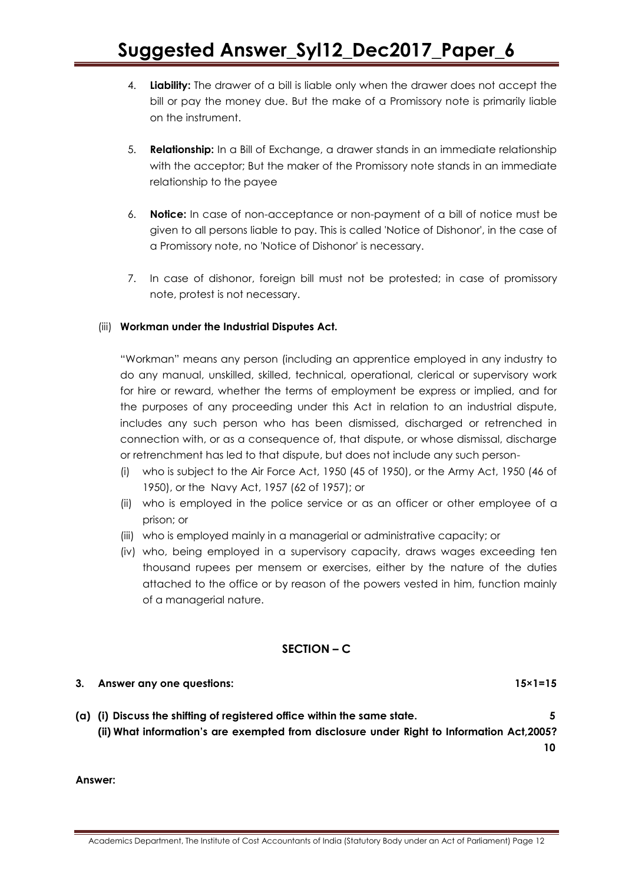- 4. **Liability:** The drawer of a bill is liable only when the drawer does not accept the bill or pay the money due. But the make of a Promissory note is primarily liable on the instrument.
- 5. **Relationship:** In a Bill of Exchange, a drawer stands in an immediate relationship with the acceptor; But the maker of the Promissory note stands in an immediate relationship to the payee
- 6. **Notice:** In case of non-acceptance or non-payment of a bill of notice must be given to all persons liable to pay. This is called 'Notice of Dishonor', in the case of a Promissory note, no 'Notice of Dishonor' is necessary.
- 7. In case of dishonor, foreign bill must not be protested; in case of promissory note, protest is not necessary.

### (iii) **Workman under the Industrial Disputes Act.**

―Workman‖ means any person (including an apprentice employed in any industry to do any manual, unskilled, skilled, technical, operational, clerical or supervisory work for hire or reward, whether the terms of employment be express or implied, and for the purposes of any proceeding under this Act in relation to an industrial dispute, includes any such person who has been dismissed, discharged or retrenched in connection with, or as a consequence of, that dispute, or whose dismissal, discharge or retrenchment has led to that dispute, but does not include any such person-

- (i) who is subject to the Air Force Act, 1950 (45 of 1950), or the Army Act, 1950 (46 of 1950), or the Navy Act, 1957 (62 of 1957); or
- (ii) who is employed in the police service or as an officer or other employee of a prison; or
- (iii) who is employed mainly in a managerial or administrative capacity; or
- (iv) who, being employed in a supervisory capacity, draws wages exceeding ten thousand rupees per mensem or exercises, either by the nature of the duties attached to the office or by reason of the powers vested in him, function mainly of a managerial nature.

### **SECTION – C**

### **3. Answer any one questions: 15×1=15**

**(a) (i) Discuss the shifting of registered office within the same state. 5 (ii) What information's are exempted from disclosure under Right to Information Act,2005? 10**

**Answer:**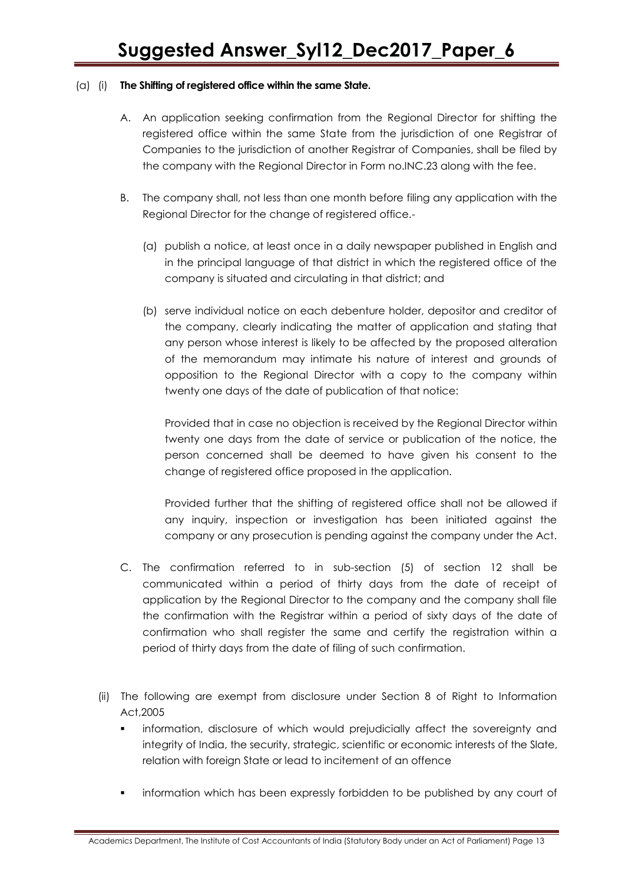### (a) (i) **The Shifting of registered office within the same State.**

- A. An application seeking confirmation from the Regional Director for shifting the registered office within the same State from the jurisdiction of one Registrar of Companies to the jurisdiction of another Registrar of Companies, shall be filed by the company with the Regional Director in Form no.INC.23 along with the fee.
- B. The company shall, not less than one month before filing any application with the Regional Director for the change of registered office.-
	- (a) publish a notice, at least once in a daily newspaper published in English and in the principal language of that district in which the registered office of the company is situated and circulating in that district; and
	- (b) serve individual notice on each debenture holder, depositor and creditor of the company, clearly indicating the matter of application and stating that any person whose interest is likely to be affected by the proposed alteration of the memorandum may intimate his nature of interest and grounds of opposition to the Regional Director with a copy to the company within twenty one days of the date of publication of that notice:

Provided that in case no objection is received by the Regional Director within twenty one days from the date of service or publication of the notice, the person concerned shall be deemed to have given his consent to the change of registered office proposed in the application.

Provided further that the shifting of registered office shall not be allowed if any inquiry, inspection or investigation has been initiated against the company or any prosecution is pending against the company under the Act.

- C. The confirmation referred to in sub-section (5) of section 12 shall be communicated within a period of thirty days from the date of receipt of application by the Regional Director to the company and the company shall file the confirmation with the Registrar within a period of sixty days of the date of confirmation who shall register the same and certify the registration within a period of thirty days from the date of filing of such confirmation.
- (ii) The following are exempt from disclosure under Section 8 of Right to Information Act,2005
	- information, disclosure of which would prejudicially affect the sovereignty and integrity of India, the security, strategic, scientific or economic interests of the Slate, relation with foreign State or lead to incitement of an offence
	- information which has been expressly forbidden to be published by any court of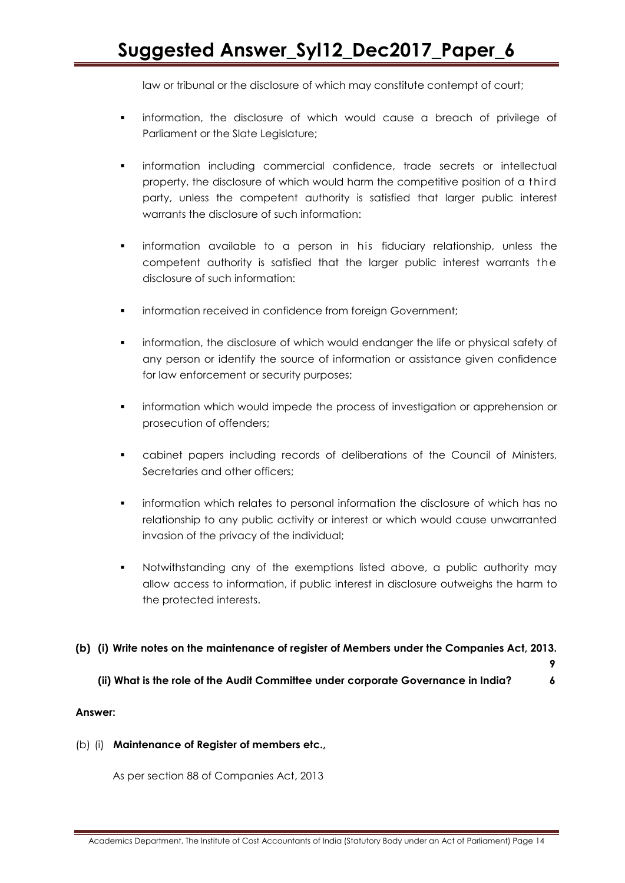law or tribunal or the disclosure of which may constitute contempt of court;

- information, the disclosure of which would cause a breach of privilege of Parliament or the Slate Legislature;
- information including commercial confidence, trade secrets or intellectual property, the disclosure of which would harm the competitive position of a third party, unless the competent authority is satisfied that larger public interest warrants the disclosure of such information:
- information available to a person in his fiduciary relationship, unless the competent authority is satisfied that the larger public interest warrants t he disclosure of such information:
- information received in confidence from foreign Government;
- information, the disclosure of which would endanger the life or physical safety of any person or identify the source of information or assistance given confidence for law enforcement or security purposes;
- **•** information which would impede the process of investigation or apprehension or prosecution of offenders;
- cabinet papers including records of deliberations of the Council of Ministers, Secretaries and other officers;
- information which relates to personal information the disclosure of which has no relationship to any public activity or interest or which would cause unwarranted invasion of the privacy of the individual;
- Notwithstanding any of the exemptions listed above, a public authority may allow access to information, if public interest in disclosure outweighs the harm to the protected interests.

### **(b) (i) Write notes on the maintenance of register of Members under the Companies Act, 2013.**

**(ii) What is the role of the Audit Committee under corporate Governance in India? 6**

 **9**

#### **Answer:**

#### (b) (i) **Maintenance of Register of members etc.,**

As per section 88 of Companies Act, 2013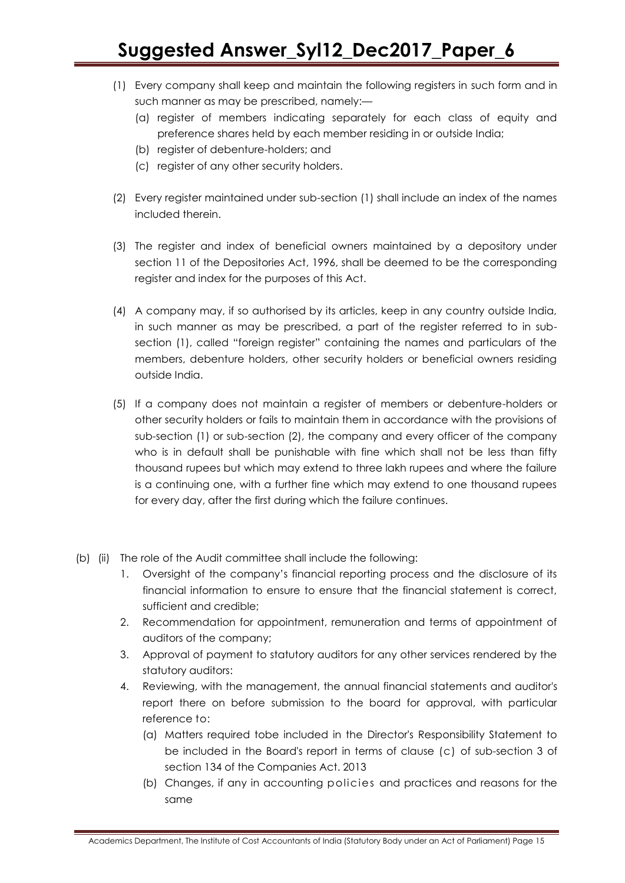- (1) Every company shall keep and maintain the following registers in such form and in such manner as may be prescribed, namely:—
	- (a) register of members indicating separately for each class of equity and preference shares held by each member residing in or outside India;
	- (b) register of debenture-holders; and
	- (c) register of any other security holders.
- (2) Every register maintained under sub-section (1) shall include an index of the names included therein.
- (3) The register and index of beneficial owners maintained by a depository under section 11 of the Depositories Act, 1996, shall be deemed to be the corresponding register and index for the purposes of this Act.
- (4) A company may, if so authorised by its articles, keep in any country outside India, in such manner as may be prescribed, a part of the register referred to in subsection (1), called "foreign register" containing the names and particulars of the members, debenture holders, other security holders or beneficial owners residing outside India.
- (5) If a company does not maintain a register of members or debenture-holders or other security holders or fails to maintain them in accordance with the provisions of sub-section (1) or sub-section (2), the company and every officer of the company who is in default shall be punishable with fine which shall not be less than fifty thousand rupees but which may extend to three lakh rupees and where the failure is a continuing one, with a further fine which may extend to one thousand rupees for every day, after the first during which the failure continues.
- (b) (ii) The role of the Audit committee shall include the following:
	- 1. Oversight of the company's financial reporting process and the disclosure of its financial information to ensure to ensure that the financial statement is correct, sufficient and credible;
	- 2. Recommendation for appointment, remuneration and terms of appointment of auditors of the company;
	- 3. Approval of payment to statutory auditors for any other services rendered by the statutory auditors:
	- 4. Reviewing, with the management, the annual financial statements and auditor's report there on before submission to the board for approval, with particular reference to:
		- (a) Matters required tobe included in the Director's Responsibility Statement to be included in the Board's report in terms of clause (c) of sub-section 3 of section 134 of the Companies Act. 2013
		- (b) Changes, if any in accounting policies and practices and reasons for the same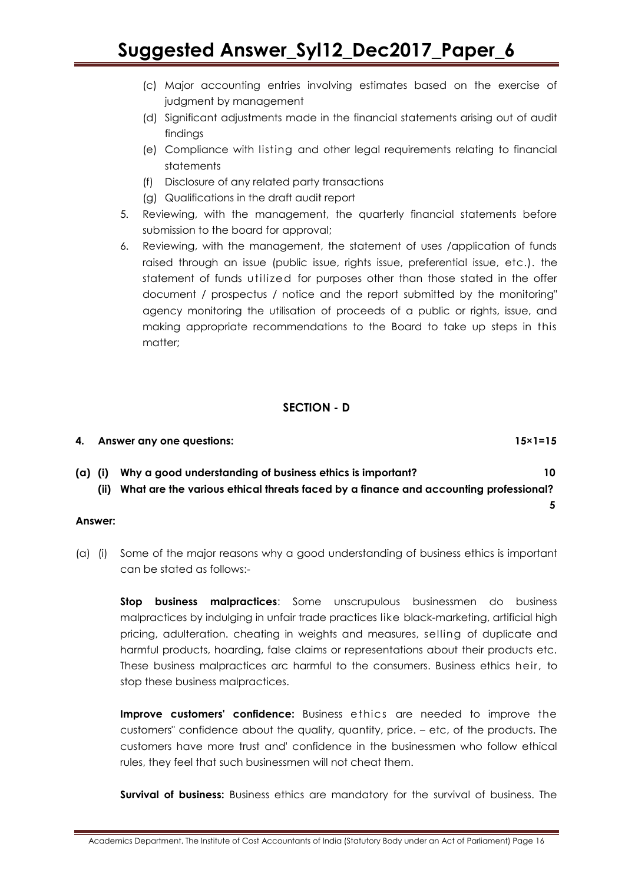- (c) Major accounting entries involving estimates based on the exercise of judgment by management
- (d) Significant adjustments made in the financial statements arising out of audit findings
- (e) Compliance with listing and other legal requirements relating to financial statements
- (f) Disclosure of any related party transactions
- (g) Qualifications in the draft audit report
- 5. Reviewing, with the management, the quarterly financial statements before submission to the board for approval;
- 6. Reviewing, with the management, the statement of uses /application of funds raised through an issue (public issue, rights issue, preferential issue, etc.). the statement of funds utilized for purposes other than those stated in the offer document / prospectus / notice and the report submitted by the monitoring" agency monitoring the utilisation of proceeds of a public or rights, issue, and making appropriate recommendations to the Board to take up steps in this matter;

### **SECTION - D**

|         | 4. Answer any one questions:                              | $15 \times 1 = 15$ |
|---------|-----------------------------------------------------------|--------------------|
| (a) (i) | Why a good understanding of business ethics is important? | 10                 |

**(ii) What are the various ethical threats faced by a finance and accounting professional?** 

### **Answer:**

(a) (i) Some of the major reasons why a good understanding of business ethics is important can be stated as follows:-

**Stop business malpractices**: Some unscrupulous businessmen do business malpractices by indulging in unfair trade practices like black-marketing, artificial high pricing, adulteration. cheating in weights and measures, selling of duplicate and harmful products, hoarding, false claims or representations about their products etc. These business malpractices arc harmful to the consumers. Business ethics heir, to stop these business malpractices.

**Improve customers' confidence:** Business ethics are needed to improve the customers" confidence about the quality, quantity, price. – etc, of the products. The customers have more trust and' confidence in the businessmen who follow ethical rules, they feel that such businessmen will not cheat them.

**Survival of business:** Business ethics are mandatory for the survival of business. The

 **5**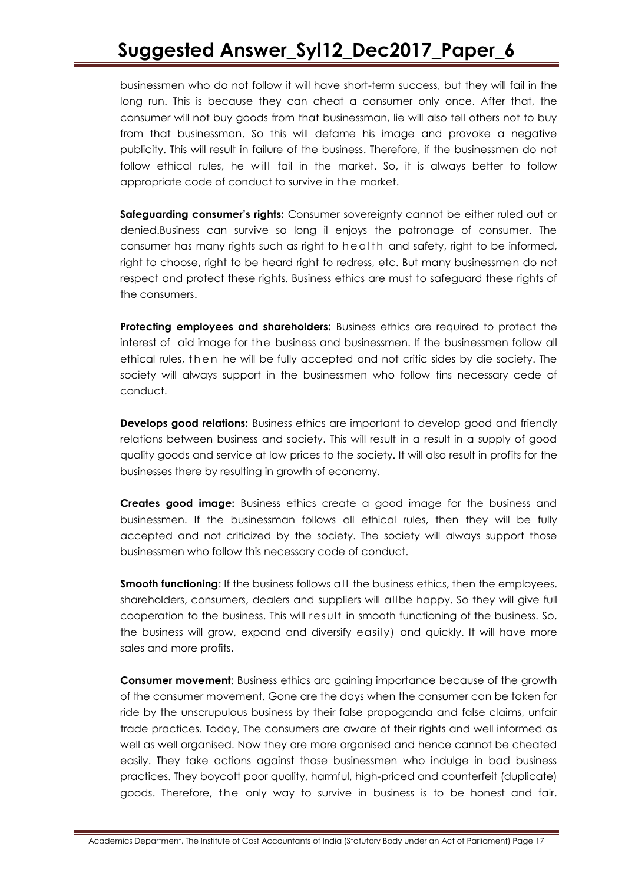businessmen who do not follow it will have short-term success, but they will fail in the long run. This is because they can cheat a consumer only once. After that, the consumer will not buy goods from that businessman, lie will also tell others not to buy from that businessman. So this will defame his image and provoke a negative publicity. This will result in failure of the business. Therefore, if the businessmen do not follow ethical rules, he will fail in the market. So, it is always better to follow appropriate code of conduct to survive in the market.

**Safeguarding consumer's rights:** Consumer sovereignty cannot be either ruled out or denied.Business can survive so long il enjoys the patronage of consumer. The consumer has many rights such as right to health and safety, right to be informed, right to choose, right to be heard right to redress, etc. But many businessmen do not respect and protect these rights. Business ethics are must to safeguard these rights of the consumers.

**Protecting employees and shareholders:** Business ethics are required to protect the interest of aid image for the business and businessmen. If the businessmen follow all ethical rules, t h e n he will be fully accepted and not critic sides by die society. The society will always support [in](http://ihu.se/) the businessmen who follow tins necessary cede of conduct.

**Develops good relations:** Business ethics are important to develop good and friendly relations between business and society. This will result in a result in a supply of good quality goods and service at low prices to the society. It will also result in profits for the businesses there by resulting in growth of economy.

**Creates good image:** Business ethics create a good image for the business and businessmen. If the businessman follows all ethical rules, then they will be fully accepted and not criticized by the society. The society will always support those businessmen who follow this necessary code of conduct.

**Smooth functioning:** If the business follows all the business ethics, then the employees. shareholders, consumers, dealers and suppliers will allbe happy. So they will give full cooperation to the business. This will result in smooth functioning of the business. So, the business will grow, expand and diversify easily) and quickly. It will have more sales and more profits.

**Consumer movement**: Business ethics arc gaining importance because of the growth of the consumer movement. Gone are the days when the consumer can be taken for ride by the unscrupulous business by their false propoganda and false claims, unfair trade practices. Today, The consumers are aware of their rights and well informed as well as well organised. Now they are more organised and hence cannot be cheated easily. They take actions against those businessmen who indulge in bad business practices. They boycott poor quality, harmful, high-priced and counterfeit (duplicate) goods. Therefore, the only way to survive in business is to be honest and fair.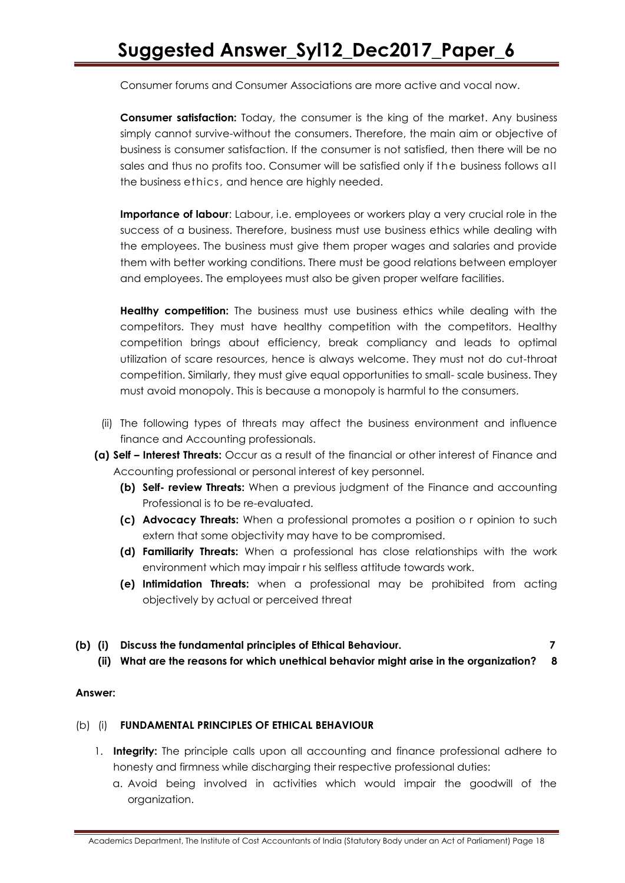Consumer forums and Consumer Associations are more active and vocal now.

**Consumer satisfaction:** Today, the consumer is the king of the market. Any business simply cannot survive-without the consumers. Therefore, the main aim or objective of business is consumer satisfaction. If the consumer is not satisfied, then there will be no sales and thus no profits too. Consumer will be satisfied only if the business follows all the business ethics, and hence are highly needed.

**Importance of labour**: Labour, i.e. employees or workers play a very crucial role in the success of a business. Therefore, business must use business ethics while dealing with the employees. The business must give them proper wages and salaries and provide them with better working conditions. There must be good relations between employer and employees. The employees must also be given proper welfare facilities.

**Healthy competition:** The business must use business ethics while dealing with the competitors. They must have healthy competition with the competitors. Healthy competition brings about efficiency, break compliancy and leads to optimal utilization of scare resources, hence is always welcome. They must not do cut-throat competition. Similarly, they must give equal opportunities to small- scale business. They must avoid monopoly. This is because a monopoly is harmful to the consumers.

- (ii) The following types of threats may affect the business environment and influence finance and Accounting professionals.
- **(a) Self – Interest Threats:** Occur as a result of the financial or other interest of Finance and Accounting professional or personal interest of key personnel.
	- **(b) Self- review Threats:** When a previous judgment of the Finance and accounting Professional is to be re-evaluated.
	- **(c) Advocacy Threats:** When a professional promotes a position o r opinion to such extern that some objectivity may have to be compromised.
	- **(d) Familiarity Threats:** When a professional has close relationships with the work environment which may impair r his selfless attitude towards work.
	- **(e) Intimidation Threats:** when a professional may be prohibited from acting objectively by actual or perceived threat
- **(b) (i) Discuss the fundamental principles of Ethical Behaviour. 7**

**(ii) What are the reasons for which unethical behavior might arise in the organization? 8**

#### **Answer:**

### (b) (i) **FUNDAMENTAL PRINCIPLES OF ETHICAL BEHAVIOUR**

- 1. **Integrity:** The principle calls upon all accounting and finance professional adhere to honesty and firmness while discharging their respective professional duties:
	- a. Avoid being involved in activities which would impair the goodwill of the organization.